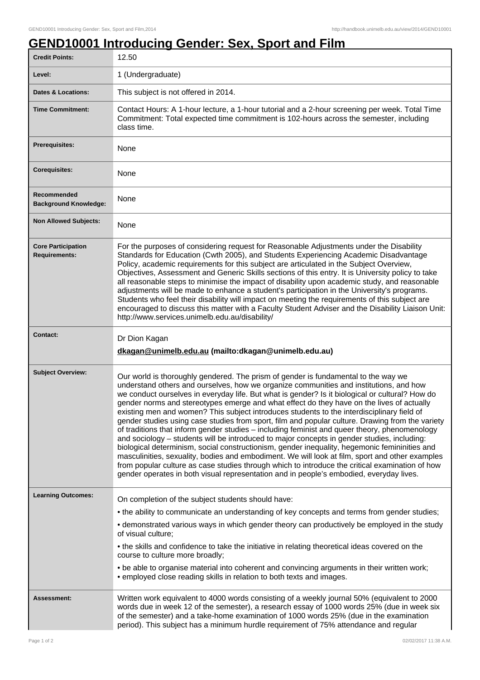## **GEND10001 Introducing Gender: Sex, Sport and Film**

| <b>Credit Points:</b>                             | 12.50                                                                                                                                                                                                                                                                                                                                                                                                                                                                                                                                                                                                                                                                                                                                                                                                                                                                                                                                                                                                                                                                                                                                                                            |
|---------------------------------------------------|----------------------------------------------------------------------------------------------------------------------------------------------------------------------------------------------------------------------------------------------------------------------------------------------------------------------------------------------------------------------------------------------------------------------------------------------------------------------------------------------------------------------------------------------------------------------------------------------------------------------------------------------------------------------------------------------------------------------------------------------------------------------------------------------------------------------------------------------------------------------------------------------------------------------------------------------------------------------------------------------------------------------------------------------------------------------------------------------------------------------------------------------------------------------------------|
| Level:                                            | 1 (Undergraduate)                                                                                                                                                                                                                                                                                                                                                                                                                                                                                                                                                                                                                                                                                                                                                                                                                                                                                                                                                                                                                                                                                                                                                                |
| <b>Dates &amp; Locations:</b>                     | This subject is not offered in 2014.                                                                                                                                                                                                                                                                                                                                                                                                                                                                                                                                                                                                                                                                                                                                                                                                                                                                                                                                                                                                                                                                                                                                             |
| <b>Time Commitment:</b>                           | Contact Hours: A 1-hour lecture, a 1-hour tutorial and a 2-hour screening per week. Total Time<br>Commitment: Total expected time commitment is 102-hours across the semester, including<br>class time.                                                                                                                                                                                                                                                                                                                                                                                                                                                                                                                                                                                                                                                                                                                                                                                                                                                                                                                                                                          |
| <b>Prerequisites:</b>                             | None                                                                                                                                                                                                                                                                                                                                                                                                                                                                                                                                                                                                                                                                                                                                                                                                                                                                                                                                                                                                                                                                                                                                                                             |
| <b>Corequisites:</b>                              | None                                                                                                                                                                                                                                                                                                                                                                                                                                                                                                                                                                                                                                                                                                                                                                                                                                                                                                                                                                                                                                                                                                                                                                             |
| Recommended<br><b>Background Knowledge:</b>       | None                                                                                                                                                                                                                                                                                                                                                                                                                                                                                                                                                                                                                                                                                                                                                                                                                                                                                                                                                                                                                                                                                                                                                                             |
| <b>Non Allowed Subjects:</b>                      | None                                                                                                                                                                                                                                                                                                                                                                                                                                                                                                                                                                                                                                                                                                                                                                                                                                                                                                                                                                                                                                                                                                                                                                             |
| <b>Core Participation</b><br><b>Requirements:</b> | For the purposes of considering request for Reasonable Adjustments under the Disability<br>Standards for Education (Cwth 2005), and Students Experiencing Academic Disadvantage<br>Policy, academic requirements for this subject are articulated in the Subject Overview,<br>Objectives, Assessment and Generic Skills sections of this entry. It is University policy to take<br>all reasonable steps to minimise the impact of disability upon academic study, and reasonable<br>adjustments will be made to enhance a student's participation in the University's programs.<br>Students who feel their disability will impact on meeting the requirements of this subject are<br>encouraged to discuss this matter with a Faculty Student Adviser and the Disability Liaison Unit:<br>http://www.services.unimelb.edu.au/disability/                                                                                                                                                                                                                                                                                                                                         |
| <b>Contact:</b>                                   | Dr Dion Kagan<br>dkagan@unimelb.edu.au (mailto:dkagan@unimelb.edu.au)                                                                                                                                                                                                                                                                                                                                                                                                                                                                                                                                                                                                                                                                                                                                                                                                                                                                                                                                                                                                                                                                                                            |
| <b>Subject Overview:</b>                          | Our world is thoroughly gendered. The prism of gender is fundamental to the way we<br>understand others and ourselves, how we organize communities and institutions, and how<br>we conduct ourselves in everyday life. But what is gender? Is it biological or cultural? How do<br>gender norms and stereotypes emerge and what effect do they have on the lives of actually<br>existing men and women? This subject introduces students to the interdisciplinary field of<br>gender studies using case studies from sport, film and popular culture. Drawing from the variety<br>of traditions that inform gender studies - including feminist and queer theory, phenomenology<br>and sociology - students will be introduced to major concepts in gender studies, including:<br>biological determinism, social constructionism, gender inequality, hegemonic femininities and<br>masculinities, sexuality, bodies and embodiment. We will look at film, sport and other examples<br>from popular culture as case studies through which to introduce the critical examination of how<br>gender operates in both visual representation and in people's embodied, everyday lives. |
| <b>Learning Outcomes:</b>                         | On completion of the subject students should have:                                                                                                                                                                                                                                                                                                                                                                                                                                                                                                                                                                                                                                                                                                                                                                                                                                                                                                                                                                                                                                                                                                                               |
|                                                   | • the ability to communicate an understanding of key concepts and terms from gender studies;                                                                                                                                                                                                                                                                                                                                                                                                                                                                                                                                                                                                                                                                                                                                                                                                                                                                                                                                                                                                                                                                                     |
|                                                   | • demonstrated various ways in which gender theory can productively be employed in the study<br>of visual culture;                                                                                                                                                                                                                                                                                                                                                                                                                                                                                                                                                                                                                                                                                                                                                                                                                                                                                                                                                                                                                                                               |
|                                                   | • the skills and confidence to take the initiative in relating theoretical ideas covered on the<br>course to culture more broadly;                                                                                                                                                                                                                                                                                                                                                                                                                                                                                                                                                                                                                                                                                                                                                                                                                                                                                                                                                                                                                                               |
|                                                   | • be able to organise material into coherent and convincing arguments in their written work;<br>• employed close reading skills in relation to both texts and images.                                                                                                                                                                                                                                                                                                                                                                                                                                                                                                                                                                                                                                                                                                                                                                                                                                                                                                                                                                                                            |
| <b>Assessment:</b>                                | Written work equivalent to 4000 words consisting of a weekly journal 50% (equivalent to 2000<br>words due in week 12 of the semester), a research essay of 1000 words 25% (due in week six<br>of the semester) and a take-home examination of 1000 words 25% (due in the examination<br>period). This subject has a minimum hurdle requirement of 75% attendance and regular                                                                                                                                                                                                                                                                                                                                                                                                                                                                                                                                                                                                                                                                                                                                                                                                     |